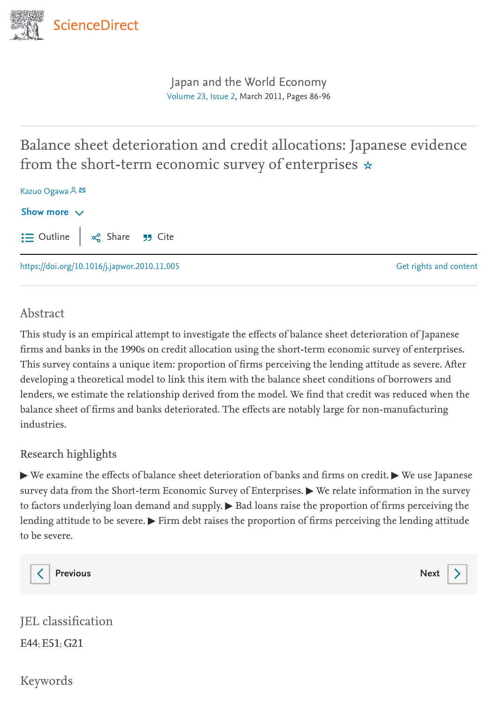

<span id="page-0-0"></span>[Japan and the World Economy](https://www.sciencedirect.com/journal/japan-and-the-world-economy) [Volume](https://www.sciencedirect.com/journal/japan-and-the-world-economy/vol/23/issue/2) 23, Issue 2, March 2011, Pages 86-96

# Balance sheet deterioration and credit allocations: Japanese evidence from the short-term economic survey of enterprises ☆

| Kazuo Ogawa A E                                                                                                                                                 |                        |
|-----------------------------------------------------------------------------------------------------------------------------------------------------------------|------------------------|
| Show more $\vee$                                                                                                                                                |                        |
| $\mathrel{\mathop:}=$ Outline $\Big  \begin{array}{cc} \infty & \infty \\ 0 & \infty \end{array}$ Share $\overline{\phantom{a}}$ Share $\overline{\phantom{a}}$ |                        |
| https://doi.org/10.1016/j.japwor.2010.11.005                                                                                                                    | Get rights and content |

## Abstract

This study is an empirical attempt to investigate the effects of balance sheet deterioration of Japanese firms and banks in the 1990s on credit allocation using the short-term economic survey of enterprises. This survey contains a unique item: proportion of firms perceiving the lending attitude as severe. After developing a theoretical model to link this item with the balance sheet conditions of borrowers and lenders, we estimate the relationship derived from the model. We find that credit was reduced when the balance sheet of firms and banks deteriorated. The effects are notably large for non-manufacturing industries.

## Research highlights

▶ We examine the effects of balance sheet deterioration of banks and firms on credit. ▶ We use Japanese survey data from the Short-term Economic Survey of Enterprises.  $\blacktriangleright$  We relate information in the survey to factors underlying loan demand and supply. ▶ Bad loans raise the proportion of firms perceiving the lending attitude to be severe.  $\blacktriangleright$  Firm debt raises the proportion of firms perceiving the lending attitude to be severe.



[Previous](https://www.sciencedirect.com/science/article/pii/S0922142510000563) **[Next](https://www.sciencedirect.com/science/article/pii/S0922142510000587)** 

| JEL classification |
|--------------------|
| E44; E51; G21      |

Keywords